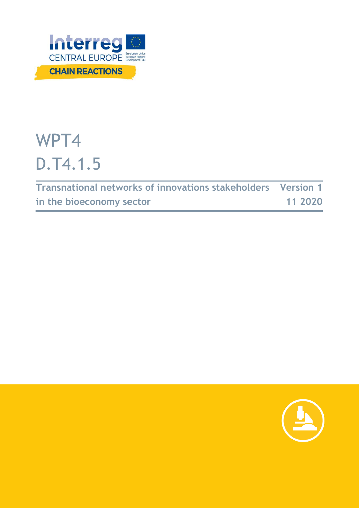

# WPT4 D.T4.1.5

**Transnational networks of innovations stakeholders in the bioeconomy sector Version 1 11 2020**

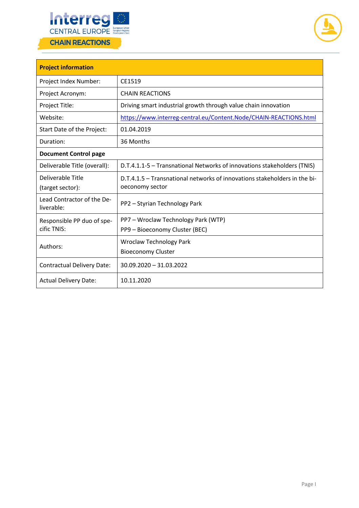



| <b>Project information</b>               |                                                                                              |  |  |  |  |
|------------------------------------------|----------------------------------------------------------------------------------------------|--|--|--|--|
| Project Index Number:                    | CE1519                                                                                       |  |  |  |  |
| Project Acronym:                         | <b>CHAIN REACTIONS</b>                                                                       |  |  |  |  |
| Project Title:                           | Driving smart industrial growth through value chain innovation                               |  |  |  |  |
| Website:                                 | https://www.interreg-central.eu/Content.Node/CHAIN-REACTIONS.html                            |  |  |  |  |
| Start Date of the Project:               | 01.04.2019                                                                                   |  |  |  |  |
| Duration:                                | 36 Months                                                                                    |  |  |  |  |
| <b>Document Control page</b>             |                                                                                              |  |  |  |  |
| Deliverable Title (overall):             | D.T.4.1.1-5 - Transnational Networks of innovations stakeholders (TNIS)                      |  |  |  |  |
| Deliverable Title<br>(target sector):    | D.T.4.1.5 - Transnational networks of innovations stakeholders in the bi-<br>oeconomy sector |  |  |  |  |
| Lead Contractor of the De-<br>liverable: | PP2 - Styrian Technology Park                                                                |  |  |  |  |
| Responsible PP duo of spe-               | PP7 - Wroclaw Technology Park (WTP)                                                          |  |  |  |  |
| cific TNIS:                              | PP9 - Bioeconomy Cluster (BEC)                                                               |  |  |  |  |
| Authors:                                 | <b>Wroclaw Technology Park</b>                                                               |  |  |  |  |
|                                          | <b>Bioeconomy Cluster</b>                                                                    |  |  |  |  |
| <b>Contractual Delivery Date:</b>        | $30.09.2020 - 31.03.2022$                                                                    |  |  |  |  |
| <b>Actual Delivery Date:</b>             | 10.11.2020                                                                                   |  |  |  |  |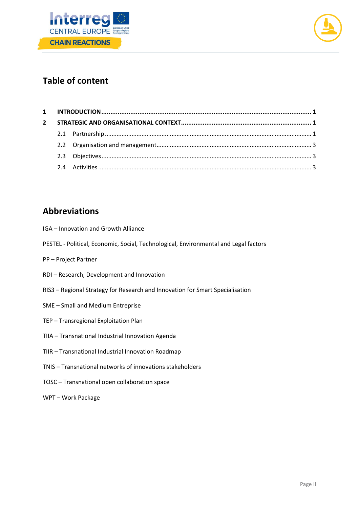



# **Table of content**

| $\mathbf{2}$ |  |  |  |
|--------------|--|--|--|
|              |  |  |  |
|              |  |  |  |
|              |  |  |  |
|              |  |  |  |

# **Abbreviations**

- IGA Innovation and Growth Alliance
- PESTEL Political, Economic, Social, Technological, Environmental and Legal factors
- PP Project Partner
- RDI Research, Development and Innovation
- RIS3 Regional Strategy for Research and Innovation for Smart Specialisation
- SME Small and Medium Entreprise
- TEP Transregional Exploitation Plan
- TIIA Transnational Industrial Innovation Agenda
- TIIR Transnational Industrial Innovation Roadmap
- TNIS Transnational networks of innovations stakeholders
- TOSC Transnational open collaboration space
- WPT Work Package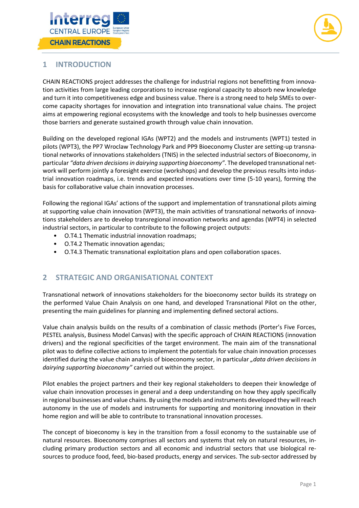



## <span id="page-3-0"></span>**1 INTRODUCTION**

CHAIN REACTIONS project addresses the challenge for industrial regions not benefitting from innovation activities from large leading corporations to increase regional capacity to absorb new knowledge and turn it into competitiveness edge and business value. There is a strong need to help SMEs to overcome capacity shortages for innovation and integration into transnational value chains. The project aims at empowering regional ecosystems with the knowledge and tools to help businesses overcome those barriers and generate sustained growth through value chain innovation.

Building on the developed regional IGAs (WPT2) and the models and instruments (WPT1) tested in pilots (WPT3), the PP7 Wroclaw Technology Park and PP9 Bioeconomy Cluster are setting-up transnational networks of innovations stakeholders (TNIS) in the selected industrial sectors of Bioeconomy, in particular *"data driven decisions in dairying supporting bioeconomy"*. The developed transnational network will perform jointly a foresight exercise (workshops) and develop the previous results into industrial innovation roadmaps, i.e. trends and expected innovations over time (5-10 years), forming the basis for collaborative value chain innovation processes.

Following the regional IGAs' actions of the support and implementation of transnational pilots aiming at supporting value chain innovation (WPT3), the main activities of transnational networks of innovations stakeholders are to develop transregional innovation networks and agendas (WPT4) in selected industrial sectors, in particular to contribute to the following project outputs:

- O.T4.1 Thematic industrial innovation roadmaps;
- O.T4.2 Thematic innovation agendas;
- O.T4.3 Thematic transnational exploitation plans and open collaboration spaces.

## <span id="page-3-1"></span>**2 STRATEGIC AND ORGANISATIONAL CONTEXT**

Transnational network of innovations stakeholders for the bioeconomy sector builds its strategy on the performed Value Chain Analysis on one hand, and developed Transnational Pilot on the other, presenting the main guidelines for planning and implementing defined sectoral actions.

Value chain analysis builds on the results of a combination of classic methods (Porter's Five Forces, PESTEL analysis, Business Model Canvas) with the specific approach of CHAIN REACTIONS (innovation drivers) and the regional specificities of the target environment. The main aim of the transnational pilot was to define collective actions to implement the potentials for value chain innovation processes identified during the value chain analysis of bioeconomy sector, in particular "data driven decisions in *dairying supporting bioeconomy"* carried out within the project.

Pilot enables the project partners and their key regional stakeholders to deepen their knowledge of value chain innovation processes in general and a deep understanding on how they apply specifically in regional businesses and value chains. By using the models and instruments developed they will reach autonomy in the use of models and instruments for supporting and monitoring innovation in their home region and will be able to contribute to transnational innovation processes.

<span id="page-3-2"></span>The concept of bioeconomy is key in the transition from a fossil economy to the sustainable use of natural resources. Bioeconomy comprises all sectors and systems that rely on natural resources, including primary production sectors and all economic and industrial sectors that use biological resources to produce food, feed, bio-based products, energy and services. The sub-sector addressed by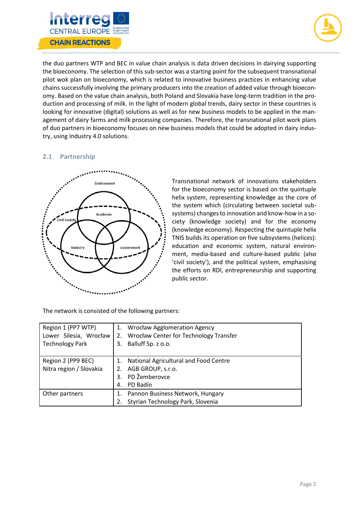



the duo partners WTP and BEC in value chain analysis is data driven decisions in dairying supporting the bioeconomy. The selection of this sub-sector was a starting point for the subsequent transnational pilot wok plan on bioeconomy, which is related to innovative business practices in enhancing value chains successfully involving the primary producers into the creation of added value through bioeconomy. Based on the value chain analysis, both Poland and Slovakia have long-term tradition in the production and processing of milk. In the light of modern global trends, dairy sector in these countries is looking for innovative (digital) solutions as well as for new business models to be applied in the management of dairy farms and milk processing companies. Therefore, the transnational pilot work plans of duo partners in bioeconomy focuses on new business models that could be adopted in dairy industry, using Industry 4.0 solutions.

#### **2.1 Partnership**



Transnational network of innovations stakeholders for the bioeconomy sector is based on the quintuple helix system, representing knowledge as the core of the system which (circulating between societal subsystems) changes to innovation and know-how in a society (knowledge society) and for the economy (knowledge economy). Respecting the quintuple helix TNIS builds its operation on five subsystems (helices): education and economic system, natural environment, media-based and culture-based public (also 'civil society'), and the political system, emphasising the efforts on RDI, entrepreneurship and supporting public sector.

The network is consisted of the following partners:

| Region 1 (PP7 WTP)      | 1. | <b>Wrocław Agglomeration Agency</b>           |
|-------------------------|----|-----------------------------------------------|
| Lower Silesia, Wrocław  | 2. | <b>Wrocław Center for Technology Transfer</b> |
| <b>Technology Park</b>  | 3. | Balluff Sp. z o.o.                            |
|                         |    |                                               |
| Region 2 (PP9 BEC)      | 1. | National Agricultural and Food Centre         |
| Nitra region / Slovakia | 2. | AGB GROUP, s.r.o.                             |
|                         | 3. | PD Žemberovce                                 |
|                         | 4. | PD Badín                                      |
| Other partners          |    | Pannon Business Network, Hungary              |
|                         | 2. | Styrian Technology Park, Slovenia             |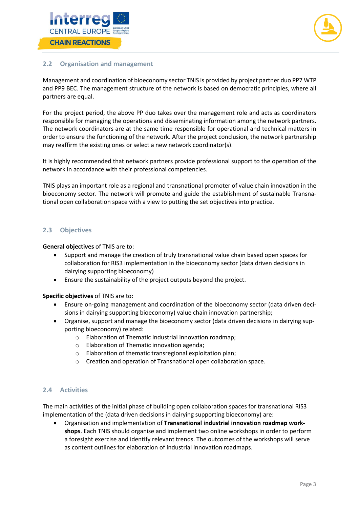



## <span id="page-5-0"></span>**2.2 Organisation and management**

Management and coordination of bioeconomy sector TNIS is provided by project partner duo PP7 WTP and PP9 BEC. The management structure of the network is based on democratic principles, where all partners are equal.

For the project period, the above PP duo takes over the management role and acts as coordinators responsible for managing the operations and disseminating information among the network partners. The network coordinators are at the same time responsible for operational and technical matters in order to ensure the functioning of the network. After the project conclusion, the network partnership may reaffirm the existing ones or select a new network coordinator(s).

It is highly recommended that network partners provide professional support to the operation of the network in accordance with their professional competencies.

TNIS plays an important role as a regional and transnational promoter of value chain innovation in the bioeconomy sector. The network will promote and guide the establishment of sustainable Transnational open collaboration space with a view to putting the set objectives into practice.

#### <span id="page-5-1"></span>**2.3 Objectives**

**General objectives** of TNIS are to:

- Support and manage the creation of truly transnational value chain based open spaces for collaboration for RIS3 implementation in the bioeconomy sector (data driven decisions in dairying supporting bioeconomy)
- Ensure the sustainability of the project outputs beyond the project.

**Specific objectives** of TNIS are to:

- Ensure on-going management and coordination of the bioeconomy sector (data driven decisions in dairying supporting bioeconomy) value chain innovation partnership;
- Organise, support and manage the bioeconomy sector (data driven decisions in dairying supporting bioeconomy) related:
	- o Elaboration of Thematic industrial innovation roadmap;
	- o Elaboration of Thematic innovation agenda;
	- o Elaboration of thematic transregional exploitation plan;
	- o Creation and operation of Transnational open collaboration space.

## <span id="page-5-2"></span>**2.4 Activities**

The main activities of the initial phase of building open collaboration spaces for transnational RIS3 implementation of the (data driven decisions in dairying supporting bioeconomy) are:

• Organisation and implementation of **Transnational industrial innovation roadmap workshops**. Each TNIS should organise and implement two online workshops in order to perform a foresight exercise and identify relevant trends. The outcomes of the workshops will serve as content outlines for elaboration of industrial innovation roadmaps.